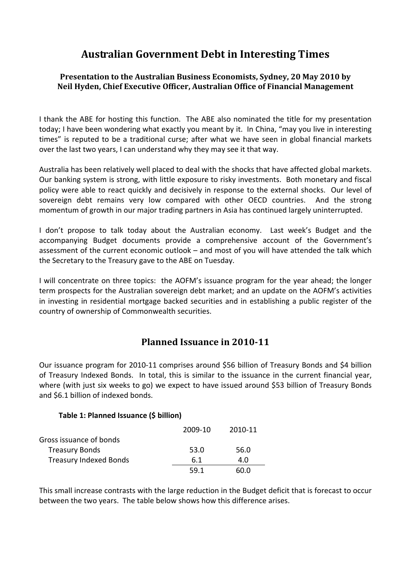# **Australian Government Debt in Interesting Times**

### **Presentation to the Australian Business Economists, Sydney, 20 May 2010 by Neil Hyden, Chief Executive Officer, Australian Office of Financial Management**

I thank the ABE for hosting this function. The ABE also nominated the title for my presentation today; I have been wondering what exactly you meant by it. In China, "may you live in interesting times" is reputed to be a traditional curse; after what we have seen in global financial markets over the last two years, I can understand why they may see it that way.

Australia has been relatively well placed to deal with the shocks that have affected global markets. Our banking system is strong, with little exposure to risky investments. Both monetary and fiscal policy were able to react quickly and decisively in response to the external shocks. Our level of sovereign debt remains very low compared with other OECD countries. And the strong momentum of growth in our major trading partners in Asia has continued largely uninterrupted.

I don't propose to talk today about the Australian economy. Last week's Budget and the accompanying Budget documents provide a comprehensive account of the Government's assessment of the current economic outlook – and most of you will have attended the talk which the Secretary to the Treasury gave to the ABE on Tuesday.

I will concentrate on three topics: the AOFM's issuance program for the year ahead; the longer term prospects for the Australian sovereign debt market; and an update on the AOFM's activities in investing in residential mortgage backed securities and in establishing a public register of the country of ownership of Commonwealth securities.

# **Planned Issuance in 201011**

Our issuance program for 2010‐11 comprises around \$56 billion of Treasury Bonds and \$4 billion of Treasury Indexed Bonds. In total, this is similar to the issuance in the current financial year, where (with just six weeks to go) we expect to have issued around \$53 billion of Treasury Bonds and \$6.1 billion of indexed bonds.

### **Table 1: Planned Issuance (\$ billion)**

|                               | 2009-10 | 2010-11 |  |
|-------------------------------|---------|---------|--|
| Gross issuance of bonds       |         |         |  |
| <b>Treasury Bonds</b>         | 53.0    | 56.0    |  |
| <b>Treasury Indexed Bonds</b> | 6.1     | 4.0     |  |
|                               | 59.1    | 60.O    |  |

This small increase contrasts with the large reduction in the Budget deficit that is forecast to occur between the two years. The table below shows how this difference arises.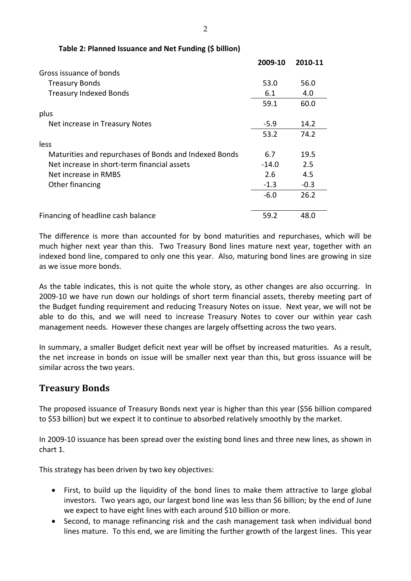|                                                       | 2009-10 | 2010-11 |
|-------------------------------------------------------|---------|---------|
| Gross issuance of bonds                               |         |         |
| <b>Treasury Bonds</b>                                 | 53.0    | 56.0    |
| <b>Treasury Indexed Bonds</b>                         | 6.1     | 4.0     |
|                                                       | 59.1    | 60.0    |
| plus                                                  |         |         |
| Net increase in Treasury Notes                        | $-5.9$  | 14.2    |
|                                                       | 53.2    | 74.2    |
| less                                                  |         |         |
| Maturities and repurchases of Bonds and Indexed Bonds | 6.7     | 19.5    |
| Net increase in short-term financial assets           | $-14.0$ | 2.5     |
| Net increase in RMBS                                  | 2.6     | 4.5     |
| Other financing                                       | $-1.3$  | $-0.3$  |
|                                                       | $-6.0$  | 26.2    |
|                                                       |         |         |
| Financing of headline cash balance                    | 59.2    | 48.0    |

#### **Table 2: Planned Issuance and Net Funding (\$ billion)**

The difference is more than accounted for by bond maturities and repurchases, which will be much higher next year than this. Two Treasury Bond lines mature next year, together with an indexed bond line, compared to only one this year. Also, maturing bond lines are growing in size as we issue more bonds.

As the table indicates, this is not quite the whole story, as other changes are also occurring. In 2009‐10 we have run down our holdings of short term financial assets, thereby meeting part of the Budget funding requirement and reducing Treasury Notes on issue. Next year, we will not be able to do this, and we will need to increase Treasury Notes to cover our within year cash management needs. However these changes are largely offsetting across the two years.

In summary, a smaller Budget deficit next year will be offset by increased maturities. As a result, the net increase in bonds on issue will be smaller next year than this, but gross issuance will be similar across the two years.

### **Treasury Bonds**

The proposed issuance of Treasury Bonds next year is higher than this year (\$56 billion compared to \$53 billion) but we expect it to continue to absorbed relatively smoothly by the market.

In 2009‐10 issuance has been spread over the existing bond lines and three new lines, as shown in chart 1.

This strategy has been driven by two key objectives:

- First, to build up the liquidity of the bond lines to make them attractive to large global investors. Two years ago, our largest bond line was less than \$6 billion; by the end of June we expect to have eight lines with each around \$10 billion or more.
- Second, to manage refinancing risk and the cash management task when individual bond lines mature. To this end, we are limiting the further growth of the largest lines. This year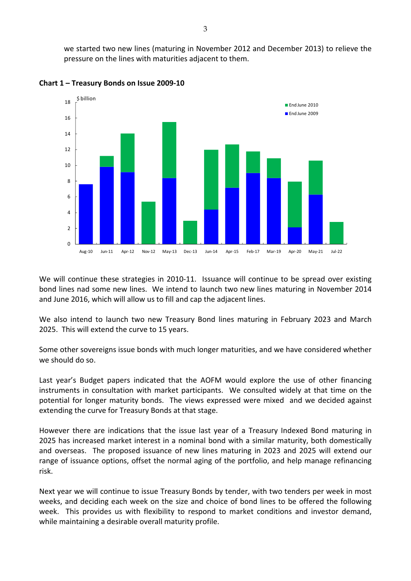we started two new lines (maturing in November 2012 and December 2013) to relieve the pressure on the lines with maturities adjacent to them.



**Chart 1 – Treasury Bonds on Issue 2009‐10**

We will continue these strategies in 2010-11. Issuance will continue to be spread over existing bond lines nad some new lines. We intend to launch two new lines maturing in November 2014 and June 2016, which will allow us to fill and cap the adjacent lines.

We also intend to launch two new Treasury Bond lines maturing in February 2023 and March 2025. This will extend the curve to 15 years.

Some other sovereigns issue bonds with much longer maturities, and we have considered whether we should do so.

Last year's Budget papers indicated that the AOFM would explore the use of other financing instruments in consultation with market participants. We consulted widely at that time on the potential for longer maturity bonds. The views expressed were mixed and we decided against extending the curve for Treasury Bonds at that stage.

However there are indications that the issue last year of a Treasury Indexed Bond maturing in 2025 has increased market interest in a nominal bond with a similar maturity, both domestically and overseas. The proposed issuance of new lines maturing in 2023 and 2025 will extend our range of issuance options, offset the normal aging of the portfolio, and help manage refinancing risk.

Next year we will continue to issue Treasury Bonds by tender, with two tenders per week in most weeks, and deciding each week on the size and choice of bond lines to be offered the following week. This provides us with flexibility to respond to market conditions and investor demand, while maintaining a desirable overall maturity profile.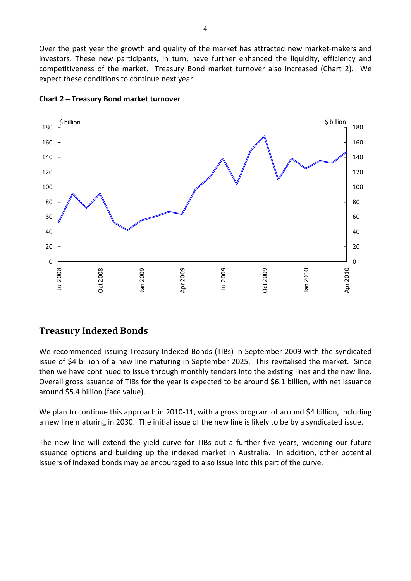Over the past year the growth and quality of the market has attracted new market‐makers and investors. These new participants, in turn, have further enhanced the liquidity, efficiency and competitiveness of the market. Treasury Bond market turnover also increased (Chart 2). We expect these conditions to continue next year.



#### **Chart 2 – Treasury Bond market turnover**

# **Treasury Indexed Bonds**

We recommenced issuing Treasury Indexed Bonds (TIBs) in September 2009 with the syndicated issue of \$4 billion of a new line maturing in September 2025. This revitalised the market. Since then we have continued to issue through monthly tenders into the existing lines and the new line. Overall gross issuance of TIBs for the year is expected to be around \$6.1 billion, with net issuance around \$5.4 billion (face value).

We plan to continue this approach in 2010-11, with a gross program of around \$4 billion, including a new line maturing in 2030. The initial issue of the new line is likely to be by a syndicated issue.

The new line will extend the yield curve for TIBs out a further five years, widening our future issuance options and building up the indexed market in Australia. In addition, other potential issuers of indexed bonds may be encouraged to also issue into this part of the curve.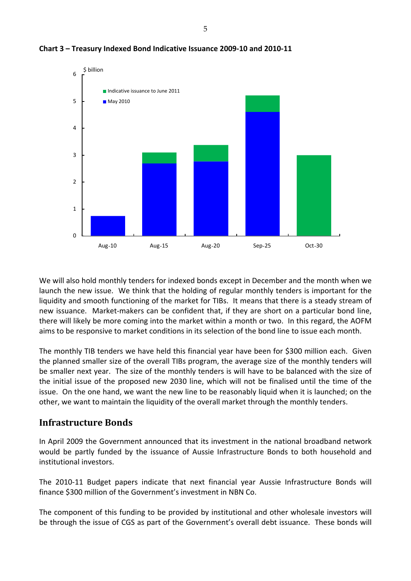

**Chart 3 – Treasury Indexed Bond Indicative Issuance 2009‐10 and 2010‐11**

We will also hold monthly tenders for indexed bonds except in December and the month when we launch the new issue. We think that the holding of regular monthly tenders is important for the liquidity and smooth functioning of the market for TIBs. It means that there is a steady stream of new issuance. Market-makers can be confident that, if they are short on a particular bond line, there will likely be more coming into the market within a month or two. In this regard, the AOFM aims to be responsive to market conditions in its selection of the bond line to issue each month.

The monthly TIB tenders we have held this financial year have been for \$300 million each. Given the planned smaller size of the overall TIBs program, the average size of the monthly tenders will be smaller next year. The size of the monthly tenders is will have to be balanced with the size of the initial issue of the proposed new 2030 line, which will not be finalised until the time of the issue. On the one hand, we want the new line to be reasonably liquid when it is launched; on the other, we want to maintain the liquidity of the overall market through the monthly tenders.

### **Infrastructure Bonds**

In April 2009 the Government announced that its investment in the national broadband network would be partly funded by the issuance of Aussie Infrastructure Bonds to both household and institutional investors.

The 2010‐11 Budget papers indicate that next financial year Aussie Infrastructure Bonds will finance \$300 million of the Government's investment in NBN Co.

The component of this funding to be provided by institutional and other wholesale investors will be through the issue of CGS as part of the Government's overall debt issuance. These bonds will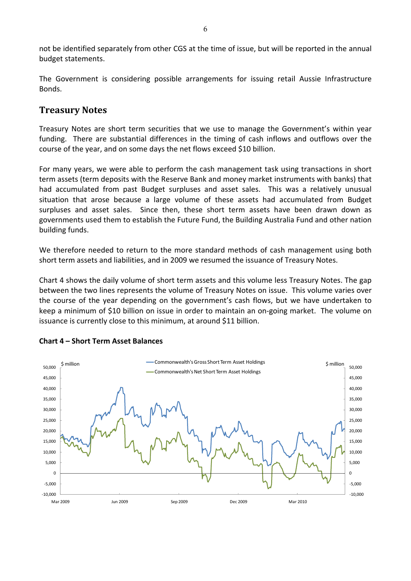not be identified separately from other CGS at the time of issue, but will be reported in the annual budget statements.

The Government is considering possible arrangements for issuing retail Aussie Infrastructure Bonds.

### **Treasury Notes**

Treasury Notes are short term securities that we use to manage the Government's within year funding. There are substantial differences in the timing of cash inflows and outflows over the course of the year, and on some days the net flows exceed \$10 billion.

For many years, we were able to perform the cash management task using transactions in short term assets (term deposits with the Reserve Bank and money market instruments with banks) that had accumulated from past Budget surpluses and asset sales. This was a relatively unusual situation that arose because a large volume of these assets had accumulated from Budget surpluses and asset sales. Since then, these short term assets have been drawn down as governments used them to establish the Future Fund, the Building Australia Fund and other nation building funds.

We therefore needed to return to the more standard methods of cash management using both short term assets and liabilities, and in 2009 we resumed the issuance of Treasury Notes.

Chart 4 shows the daily volume of short term assets and this volume less Treasury Notes. The gap between the two lines represents the volume of Treasury Notes on issue. This volume varies over the course of the year depending on the government's cash flows, but we have undertaken to keep a minimum of \$10 billion on issue in order to maintain an on-going market. The volume on issuance is currently close to this minimum, at around \$11 billion.



#### **Chart 4 – Short Term Asset Balances**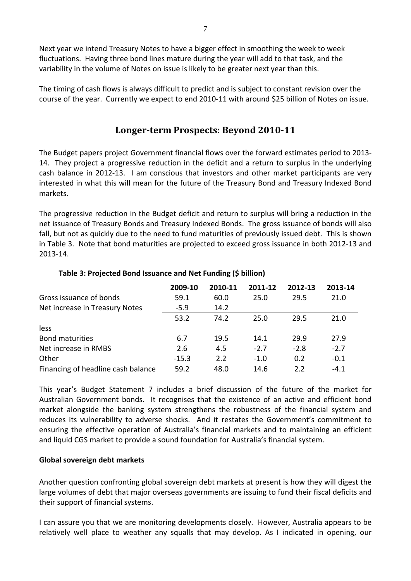Next year we intend Treasury Notes to have a bigger effect in smoothing the week to week fluctuations. Having three bond lines mature during the year will add to that task, and the variability in the volume of Notes on issue is likely to be greater next year than this.

The timing of cash flows is always difficult to predict and is subject to constant revision over the course of the year. Currently we expect to end 2010‐11 with around \$25 billion of Notes on issue.

## **Longerterm Prospects: Beyond 201011**

The Budget papers project Government financial flows over the forward estimates period to 2013‐ 14. They project a progressive reduction in the deficit and a return to surplus in the underlying cash balance in 2012‐13. I am conscious that investors and other market participants are very interested in what this will mean for the future of the Treasury Bond and Treasury Indexed Bond markets.

The progressive reduction in the Budget deficit and return to surplus will bring a reduction in the net issuance of Treasury Bonds and Treasury Indexed Bonds. The gross issuance of bonds will also fall, but not as quickly due to the need to fund maturities of previously issued debt. This is shown in Table 3. Note that bond maturities are projected to exceed gross issuance in both 2012‐13 and 2013‐14.

|                                    | 2009-10 | 2010-11 | 2011-12 | 2012-13 | 2013-14 |
|------------------------------------|---------|---------|---------|---------|---------|
| Gross issuance of bonds            | 59.1    | 60.0    | 25.0    | 29.5    | 21.0    |
| Net increase in Treasury Notes     | $-5.9$  | 14.2    |         |         |         |
|                                    | 53.2    | 74.2    | 25.0    | 29.5    | 21.0    |
| less                               |         |         |         |         |         |
| <b>Bond maturities</b>             | 6.7     | 19.5    | 14.1    | 29.9    | 27.9    |
| Net increase in RMBS               | 2.6     | 4.5     | $-2.7$  | $-2.8$  | $-2.7$  |
| Other                              | $-15.3$ | 2.2     | $-1.0$  | 0.2     | $-0.1$  |
| Financing of headline cash balance | 59.2    | 48.0    | 14.6    | 2.2     | $-4.1$  |

#### **Table 3: Projected Bond Issuance and Net Funding (\$ billion)**

This year's Budget Statement 7 includes a brief discussion of the future of the market for Australian Government bonds. It recognises that the existence of an active and efficient bond market alongside the banking system strengthens the robustness of the financial system and reduces its vulnerability to adverse shocks. And it restates the Government's commitment to ensuring the effective operation of Australia's financial markets and to maintaining an efficient and liquid CGS market to provide a sound foundation for Australia's financial system.

#### **Global sovereign debt markets**

Another question confronting global sovereign debt markets at present is how they will digest the large volumes of debt that major overseas governments are issuing to fund their fiscal deficits and their support of financial systems.

I can assure you that we are monitoring developments closely. However, Australia appears to be relatively well place to weather any squalls that may develop. As I indicated in opening, our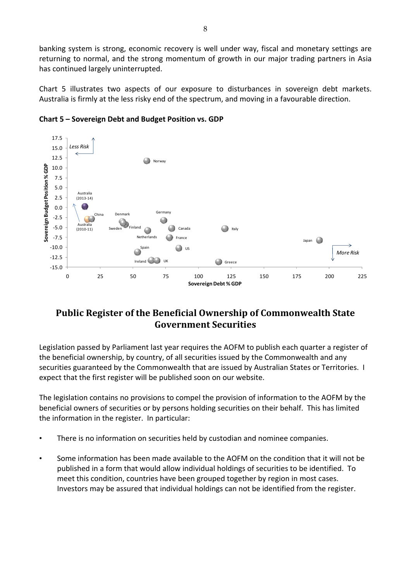banking system is strong, economic recovery is well under way, fiscal and monetary settings are returning to normal, and the strong momentum of growth in our major trading partners in Asia has continued largely uninterrupted.

Chart 5 illustrates two aspects of our exposure to disturbances in sovereign debt markets. Australia is firmly at the less risky end of the spectrum, and moving in a favourable direction.



**Chart 5 – Sovereign Debt and Budget Position vs. GDP** 

# **Public Register of the Beneficial Ownership of Commonwealth State Government Securities**

Legislation passed by Parliament last year requires the AOFM to publish each quarter a register of the beneficial ownership, by country, of all securities issued by the Commonwealth and any securities guaranteed by the Commonwealth that are issued by Australian States or Territories. I expect that the first register will be published soon on our website.

The legislation contains no provisions to compel the provision of information to the AOFM by the beneficial owners of securities or by persons holding securities on their behalf. This has limited the information in the register. In particular:

- There is no information on securities held by custodian and nominee companies.
- Some information has been made available to the AOFM on the condition that it will not be published in a form that would allow individual holdings of securities to be identified. To meet this condition, countries have been grouped together by region in most cases. Investors may be assured that individual holdings can not be identified from the register.